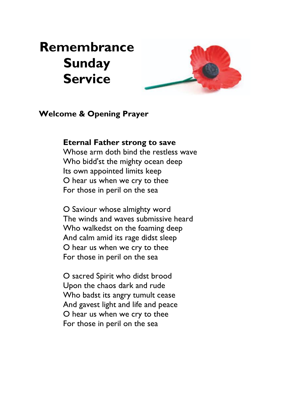# **Remembrance Sunday Service**



#### **Welcome & Opening Prayer**

#### **Eternal Father strong to save**

Whose arm doth bind the restless wave Who bidd'st the mighty ocean deep Its own appointed limits keep O hear us when we cry to thee For those in peril on the sea

O Saviour whose almighty word The winds and waves submissive heard Who walkedst on the foaming deep And calm amid its rage didst sleep O hear us when we cry to thee For those in peril on the sea

O sacred Spirit who didst brood Upon the chaos dark and rude Who badst its angry tumult cease And gavest light and life and peace O hear us when we cry to thee For those in peril on the sea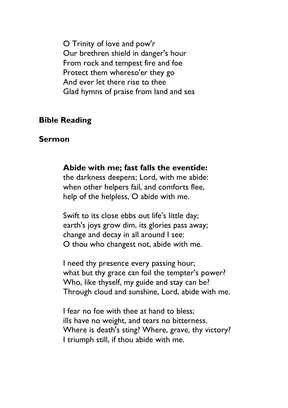O Trinity of love and pow'r Our brethren shield in danger's hour From rock and tempest fire and foe Protect them whereso'er they go And ever let there rise to thee Glad hymns of praise from land and sea

### **Bible Reading**

#### **Sermon**

**Abide with me; fast falls the eventide:**

the darkness deepens; Lord, with me abide: when other helpers fail, and comforts flee, help of the helpless, O abide with me.

Swift to its close ebbs out life's little day; earth's joys grow dim, its glories pass away; change and decay in all around I see: O thou who changest not, abide with me.

I need thy presence every passing hour; what but thy grace can foil the tempter's power? Who, like thyself, my guide and stay can be? Through cloud and sunshine, Lord, abide with me.

I fear no foe with thee at hand to bless; ills have no weight, and tears no bitterness. Where is death's sting? Where, grave, thy victory? I triumph still, if thou abide with me.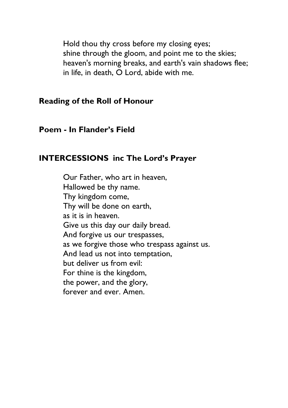Hold thou thy cross before my closing eyes; shine through the gloom, and point me to the skies; heaven's morning breaks, and earth's vain shadows flee; in life, in death, O Lord, abide with me.

#### **Reading of the Roll of Honour**

### **Poem - In Flander's Field**

## **INTERCESSIONS inc The Lord's Prayer**

Our Father, who art in heaven, Hallowed be thy name. Thy kingdom come, Thy will be done on earth, as it is in heaven. Give us this day our daily bread. And forgive us our trespasses, as we forgive those who trespass against us. And lead us not into temptation, but deliver us from evil: For thine is the kingdom, the power, and the glory, forever and ever. Amen.